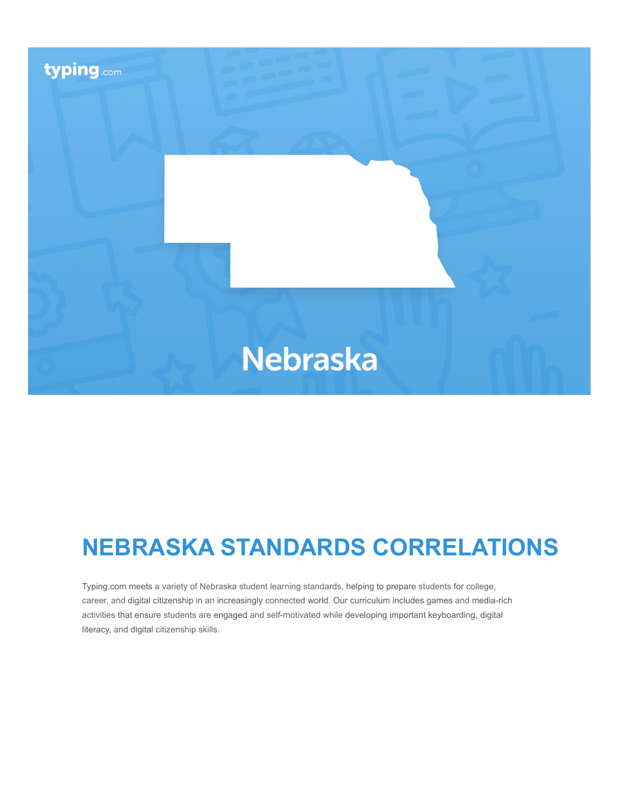

# **NEBRASKA STANDARDS CORRELATIONS**

Typing.com meets a variety of Nebraska student learning standards, helping to prepare students for college, career, and digital citizenship in an increasingly connected world. Our curriculum includes games and media-rich activities that ensure students are engaged and self-motivated while developing important keyboarding, digital literacy, and digital citizenship skills.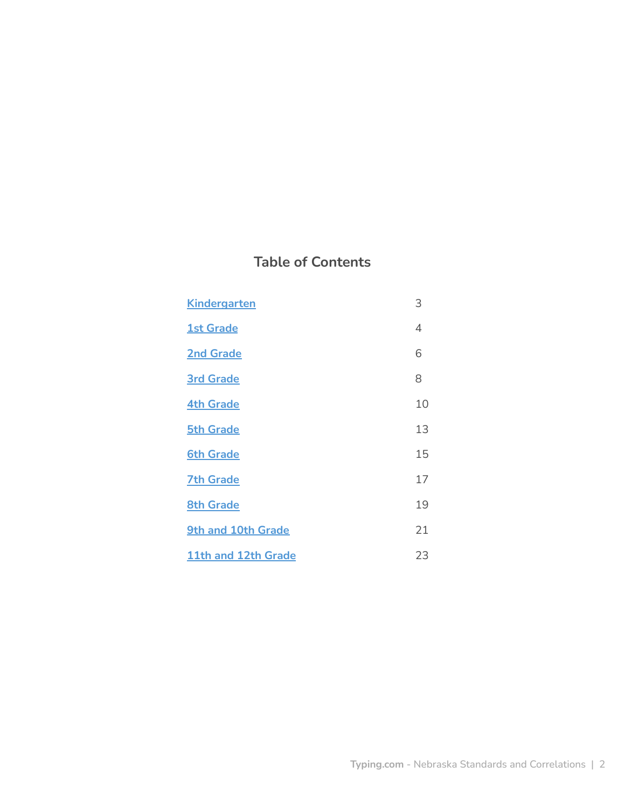# **Table of Contents**

| <b>Kindergarten</b> | 3  |
|---------------------|----|
| <b>1st Grade</b>    | 4  |
| <b>2nd Grade</b>    | 6  |
| <b>3rd Grade</b>    | 8  |
| <b>4th Grade</b>    | 10 |
| <b>5th Grade</b>    | 13 |
| <b>6th Grade</b>    | 15 |
| <b>7th Grade</b>    | 17 |
| <b>8th Grade</b>    | 19 |
| 9th and 10th Grade  | 21 |
| 11th and 12th Grade | 23 |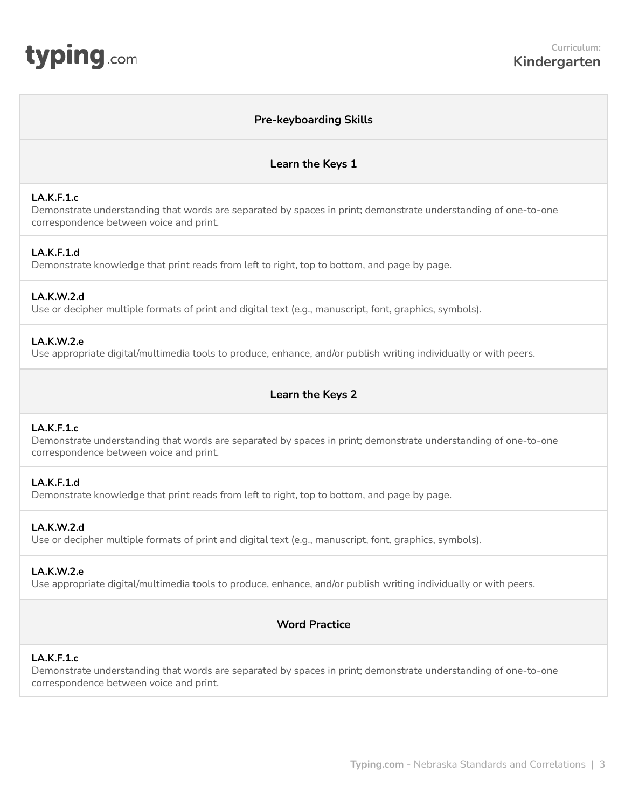# **Pre-keyboarding Skills**

**Learn the Keys 1**

# <span id="page-2-0"></span>**LA.K.F.1.c**

Demonstrate understanding that words are separated by spaces in print; demonstrate understanding of one-to-one correspondence between voice and print.

# **LA.K.F.1.d**

Demonstrate knowledge that print reads from left to right, top to bottom, and page by page.

## **LA.K.W.2.d**

Use or decipher multiple formats of print and digital text (e.g., manuscript, font, graphics, symbols).

## **LA.K.W.2.e**

Use appropriate digital/multimedia tools to produce, enhance, and/or publish writing individually or with peers.

# **Learn the Keys 2**

### **LA.K.F.1.c**

Demonstrate understanding that words are separated by spaces in print; demonstrate understanding of one-to-one correspondence between voice and print.

## **LA.K.F.1.d**

Demonstrate knowledge that print reads from left to right, top to bottom, and page by page.

# **LA.K.W.2.d**

Use or decipher multiple formats of print and digital text (e.g., manuscript, font, graphics, symbols).

# **LA.K.W.2.e**

Use appropriate digital/multimedia tools to produce, enhance, and/or publish writing individually or with peers.

# **Word Practice**

#### **LA.K.F.1.c**

Demonstrate understanding that words are separated by spaces in print; demonstrate understanding of one-to-one correspondence between voice and print.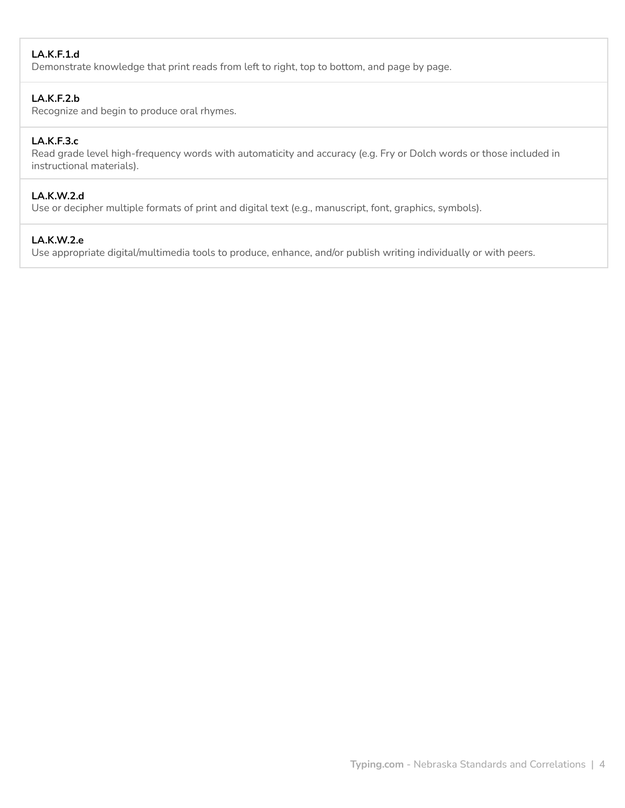# **LA.K.F.1.d**

Demonstrate knowledge that print reads from left to right, top to bottom, and page by page.

# **LA.K.F.2.b**

Recognize and begin to produce oral rhymes.

# **LA.K.F.3.c**

Read grade level high-frequency words with automaticity and accuracy (e.g. Fry or Dolch words or those included in instructional materials).

# **LA.K.W.2.d**

Use or decipher multiple formats of print and digital text (e.g., manuscript, font, graphics, symbols).

## **LA.K.W.2.e**

Use appropriate digital/multimedia tools to produce, enhance, and/or publish writing individually or with peers.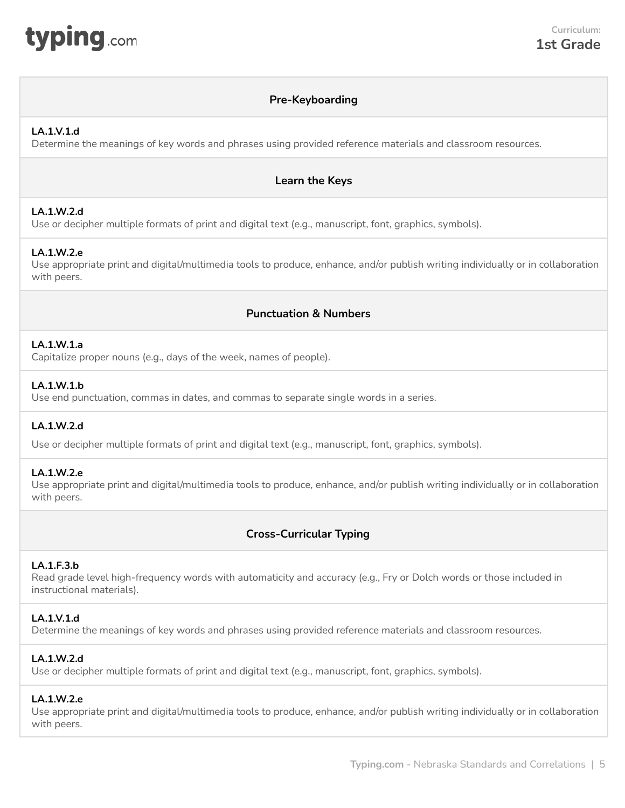<span id="page-4-0"></span>

# **Pre-Keyboarding**

# **LA.1.V.1.d**

Determine the meanings of key words and phrases using provided reference materials and classroom resources.

# **Learn the Keys**

# **LA.1.W.2.d**

Use or decipher multiple formats of print and digital text (e.g., manuscript, font, graphics, symbols).

# **LA.1.W.2.e**

Use appropriate print and digital/multimedia tools to produce, enhance, and/or publish writing individually or in collaboration with peers.

# **Punctuation & Numbers**

# **LA.1.W.1.a**

Capitalize proper nouns (e.g., days of the week, names of people).

# **LA.1.W.1.b**

Use end punctuation, commas in dates, and commas to separate single words in a series.

# **LA.1.W.2.d**

Use or decipher multiple formats of print and digital text (e.g., manuscript, font, graphics, symbols).

# **LA.1.W.2.e**

Use appropriate print and digital/multimedia tools to produce, enhance, and/or publish writing individually or in collaboration with peers.

# **Cross-Curricular Typing**

# **LA.1.F.3.b**

Read grade level high-frequency words with automaticity and accuracy (e.g., Fry or Dolch words or those included in instructional materials).

# **LA.1.V.1.d**

Determine the meanings of key words and phrases using provided reference materials and classroom resources.

# **LA.1.W.2.d**

Use or decipher multiple formats of print and digital text (e.g., manuscript, font, graphics, symbols).

# **LA.1.W.2.e**

Use appropriate print and digital/multimedia tools to produce, enhance, and/or publish writing individually or in collaboration with peers.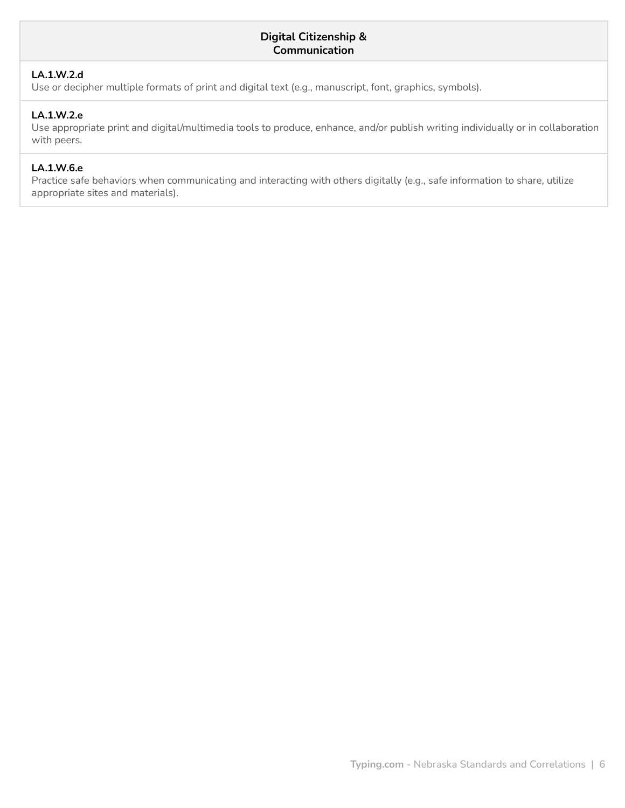# **Digital Citizenship & Communication**

# **LA.1.W.2.d**

Use or decipher multiple formats of print and digital text (e.g., manuscript, font, graphics, symbols).

# **LA.1.W.2.e**

Use appropriate print and digital/multimedia tools to produce, enhance, and/or publish writing individually or in collaboration with peers.

# **LA.1.W.6.e**

Practice safe behaviors when communicating and interacting with others digitally (e.g., safe information to share, utilize appropriate sites and materials).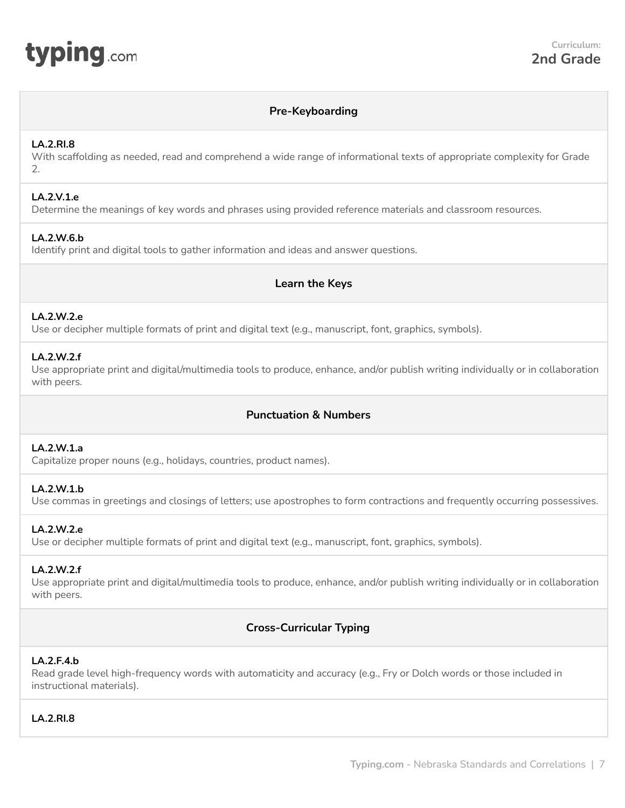<span id="page-6-0"></span>

# **Pre-Keyboarding**

### **LA.2.RI.8**

With scaffolding as needed, read and comprehend a wide range of informational texts of appropriate complexity for Grade  $\mathcal{L}$ 

### **LA.2.V.1.e**

Determine the meanings of key words and phrases using provided reference materials and classroom resources.

# **LA.2.W.6.b**

Identify print and digital tools to gather information and ideas and answer questions.

# **Learn the Keys**

# **LA.2.W.2.e**

Use or decipher multiple formats of print and digital text (e.g., manuscript, font, graphics, symbols).

## **LA.2.W.2.f**

Use appropriate print and digital/multimedia tools to produce, enhance, and/or publish writing individually or in collaboration with peers.

# **Punctuation & Numbers**

#### **LA.2.W.1.a**

Capitalize proper nouns (e.g., holidays, countries, product names).

# **LA.2.W.1.b**

Use commas in greetings and closings of letters; use apostrophes to form contractions and frequently occurring possessives.

# **LA.2.W.2.e**

Use or decipher multiple formats of print and digital text (e.g., manuscript, font, graphics, symbols).

#### **LA.2.W.2.f**

Use appropriate print and digital/multimedia tools to produce, enhance, and/or publish writing individually or in collaboration with peers.

# **Cross-Curricular Typing**

#### **LA.2.F.4.b**

Read grade level high-frequency words with automaticity and accuracy (e.g., Fry or Dolch words or those included in instructional materials).

# **LA.2.RI.8**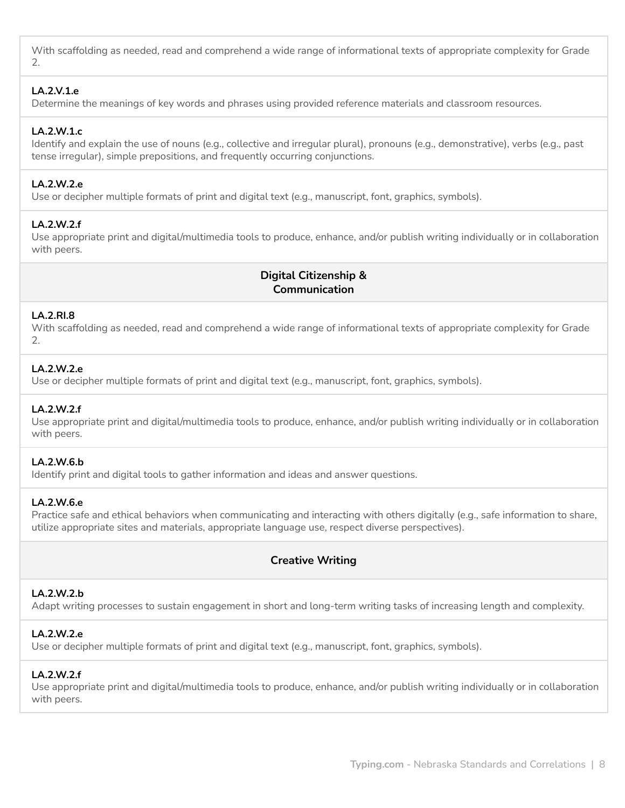With scaffolding as needed, read and comprehend a wide range of informational texts of appropriate complexity for Grade 2.

## **LA.2.V.1.e**

Determine the meanings of key words and phrases using provided reference materials and classroom resources.

# **LA.2.W.1.c**

Identify and explain the use of nouns (e.g., collective and irregular plural), pronouns (e.g., demonstrative), verbs (e.g., past tense irregular), simple prepositions, and frequently occurring conjunctions.

# **LA.2.W.2.e**

Use or decipher multiple formats of print and digital text (e.g., manuscript, font, graphics, symbols).

# **LA.2.W.2.f**

Use appropriate print and digital/multimedia tools to produce, enhance, and/or publish writing individually or in collaboration with peers.

# **Digital Citizenship & Communication**

#### **LA.2.RI.8**

With scaffolding as needed, read and comprehend a wide range of informational texts of appropriate complexity for Grade  $\mathcal{P}$ 

# **LA.2.W.2.e**

Use or decipher multiple formats of print and digital text (e.g., manuscript, font, graphics, symbols).

#### **LA.2.W.2.f**

Use appropriate print and digital/multimedia tools to produce, enhance, and/or publish writing individually or in collaboration with peers.

## **LA.2.W.6.b**

Identify print and digital tools to gather information and ideas and answer questions.

#### **LA.2.W.6.e**

Practice safe and ethical behaviors when communicating and interacting with others digitally (e.g., safe information to share, utilize appropriate sites and materials, appropriate language use, respect diverse perspectives).

# **Creative Writing**

## **LA.2.W.2.b**

Adapt writing processes to sustain engagement in short and long-term writing tasks of increasing length and complexity.

#### **LA.2.W.2.e**

Use or decipher multiple formats of print and digital text (e.g., manuscript, font, graphics, symbols).

#### **LA.2.W.2.f**

Use appropriate print and digital/multimedia tools to produce, enhance, and/or publish writing individually or in collaboration with peers.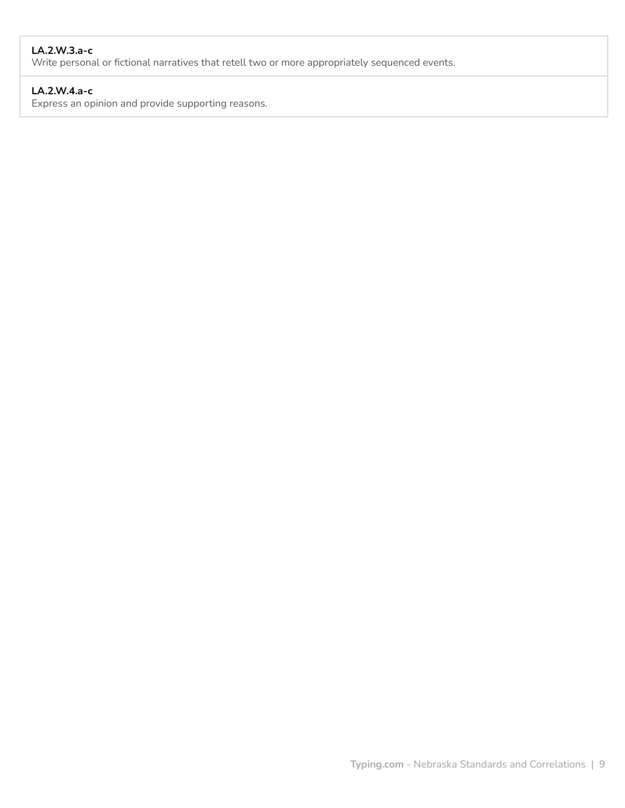# **LA.2.W.3.a-c**

Write personal or fictional narratives that retell two or more appropriately sequenced events.

# **LA.2.W.4.a-c**

Express an opinion and provide supporting reasons.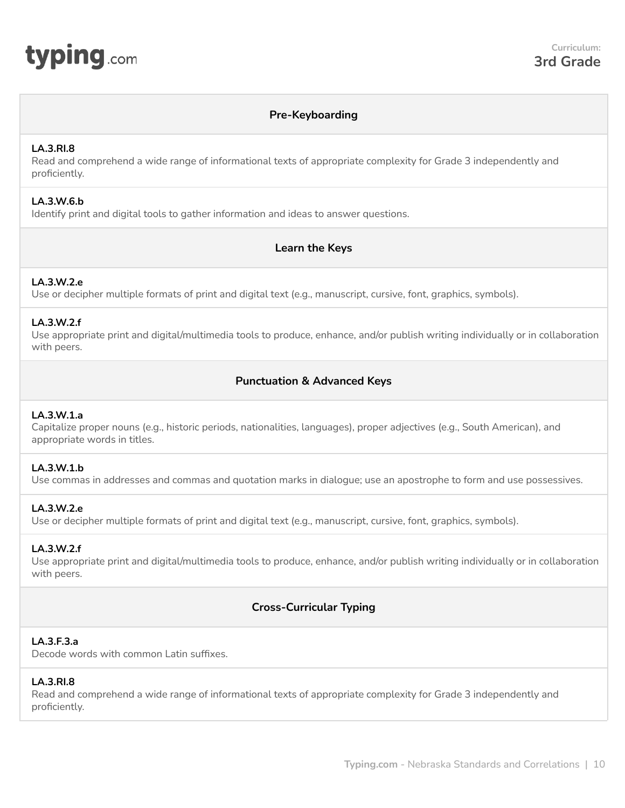# **Pre-Keyboarding**

# <span id="page-9-0"></span>**LA.3.RI.8**

Read and comprehend a wide range of informational texts of appropriate complexity for Grade 3 independently and proficiently.

# **LA.3.W.6.b**

Identify print and digital tools to gather information and ideas to answer questions.

# **Learn the Keys**

# **LA.3.W.2.e**

Use or decipher multiple formats of print and digital text (e.g., manuscript, cursive, font, graphics, symbols).

# **LA.3.W.2.f**

Use appropriate print and digital/multimedia tools to produce, enhance, and/or publish writing individually or in collaboration with peers.

# **Punctuation & Advanced Keys**

# **LA.3.W.1.a**

Capitalize proper nouns (e.g., historic periods, nationalities, languages), proper adjectives (e.g., South American), and appropriate words in titles.

# **LA.3.W.1.b**

Use commas in addresses and commas and quotation marks in dialogue; use an apostrophe to form and use possessives.

# **LA.3.W.2.e**

Use or decipher multiple formats of print and digital text (e.g., manuscript, cursive, font, graphics, symbols).

#### **LA.3.W.2.f**

Use appropriate print and digital/multimedia tools to produce, enhance, and/or publish writing individually or in collaboration with peers.

# **Cross-Curricular Typing**

# **LA.3.F.3.a**

Decode words with common Latin suffixes.

#### **LA.3.RI.8**

Read and comprehend a wide range of informational texts of appropriate complexity for Grade 3 independently and proficiently.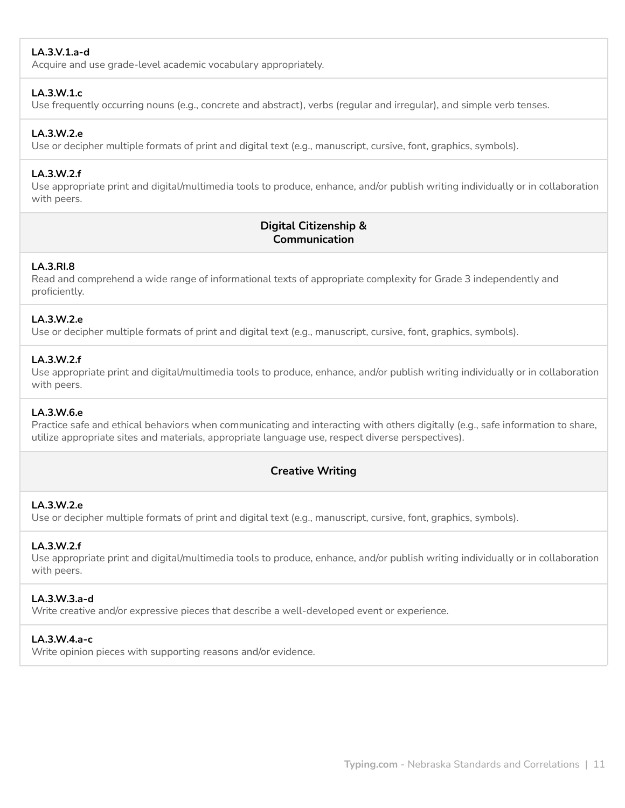# **LA.3.V.1.a-d**

Acquire and use grade-level academic vocabulary appropriately.

## **LA.3.W.1.c**

Use frequently occurring nouns (e.g., concrete and abstract), verbs (regular and irregular), and simple verb tenses.

## **LA.3.W.2.e**

Use or decipher multiple formats of print and digital text (e.g., manuscript, cursive, font, graphics, symbols).

## **LA.3.W.2.f**

Use appropriate print and digital/multimedia tools to produce, enhance, and/or publish writing individually or in collaboration with peers.

# **Digital Citizenship & Communication**

## **LA.3.RI.8**

Read and comprehend a wide range of informational texts of appropriate complexity for Grade 3 independently and proficiently.

## **LA.3.W.2.e**

Use or decipher multiple formats of print and digital text (e.g., manuscript, cursive, font, graphics, symbols).

# **LA.3.W.2.f**

Use appropriate print and digital/multimedia tools to produce, enhance, and/or publish writing individually or in collaboration with peers.

#### **LA.3.W.6.e**

Practice safe and ethical behaviors when communicating and interacting with others digitally (e.g., safe information to share, utilize appropriate sites and materials, appropriate language use, respect diverse perspectives).

# **Creative Writing**

## **LA.3.W.2.e**

Use or decipher multiple formats of print and digital text (e.g., manuscript, cursive, font, graphics, symbols).

# **LA.3.W.2.f**

Use appropriate print and digital/multimedia tools to produce, enhance, and/or publish writing individually or in collaboration with peers.

# **LA.3.W.3.a-d**

Write creative and/or expressive pieces that describe a well-developed event or experience.

# **LA.3.W.4.a-c**

Write opinion pieces with supporting reasons and/or evidence.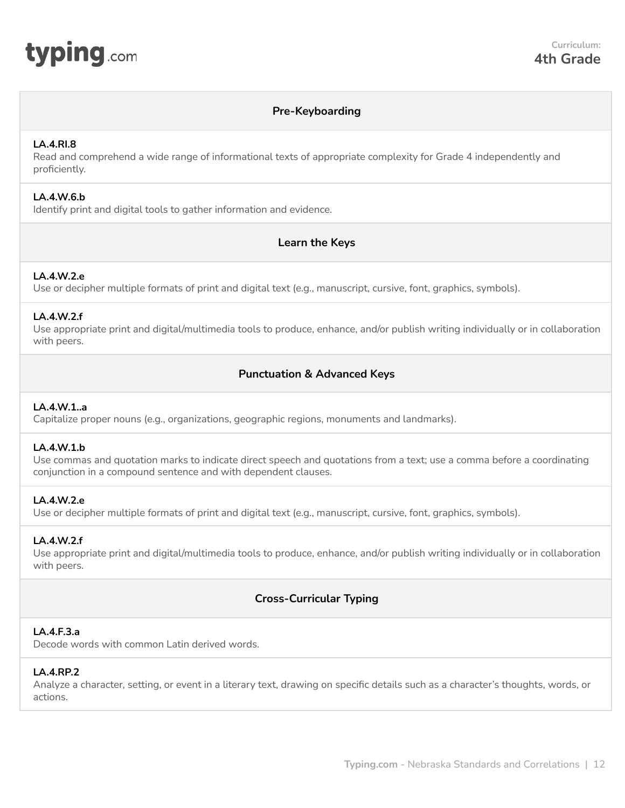<span id="page-11-0"></span>

# **Pre-Keyboarding**

## **LA.4.RI.8**

Read and comprehend a wide range of informational texts of appropriate complexity for Grade 4 independently and proficiently.

## **LA.4.W.6.b**

Identify print and digital tools to gather information and evidence.

# **Learn the Keys**

# **LA.4.W.2.e**

Use or decipher multiple formats of print and digital text (e.g., manuscript, cursive, font, graphics, symbols).

## **LA.4.W.2.f**

Use appropriate print and digital/multimedia tools to produce, enhance, and/or publish writing individually or in collaboration with peers.

# **Punctuation & Advanced Keys**

# **LA.4.W.1..a**

Capitalize proper nouns (e.g., organizations, geographic regions, monuments and landmarks).

#### **LA.4.W.1.b**

Use commas and quotation marks to indicate direct speech and quotations from a text; use a comma before a coordinating conjunction in a compound sentence and with dependent clauses.

# **LA.4.W.2.e**

Use or decipher multiple formats of print and digital text (e.g., manuscript, cursive, font, graphics, symbols).

#### **LA.4.W.2.f**

Use appropriate print and digital/multimedia tools to produce, enhance, and/or publish writing individually or in collaboration with peers.

# **Cross-Curricular Typing**

#### **LA.4.F.3.a**

Decode words with common Latin derived words.

#### **LA.4.RP.2**

Analyze a character, setting, or event in a literary text, drawing on specific details such as a character's thoughts, words, or actions.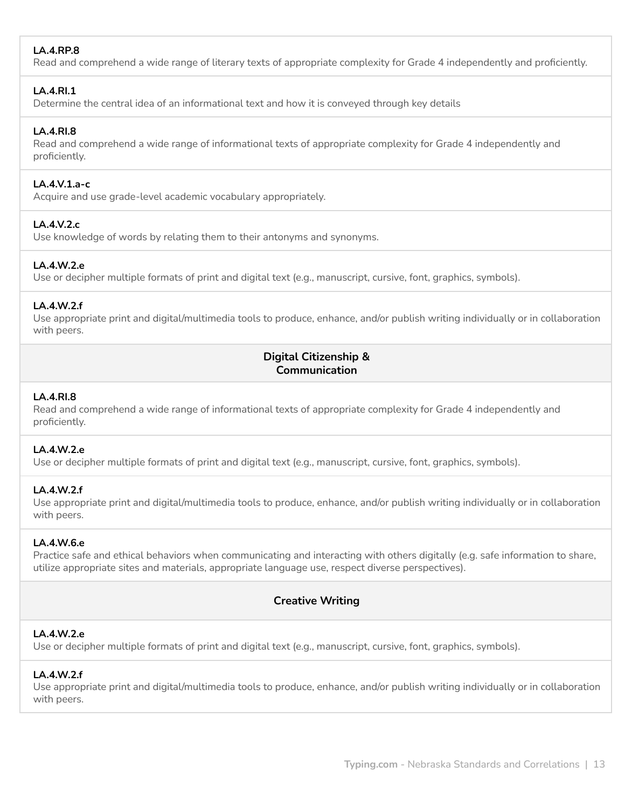# **LA.4.RP.8**

Read and comprehend a wide range of literary texts of appropriate complexity for Grade 4 independently and proficiently.

# **LA.4.RI.1**

Determine the central idea of an informational text and how it is conveyed through key details

# **LA.4.RI.8**

Read and comprehend a wide range of informational texts of appropriate complexity for Grade 4 independently and proficiently.

# **LA.4.V.1.a-c**

Acquire and use grade-level academic vocabulary appropriately.

# **LA.4.V.2.c**

Use knowledge of words by relating them to their antonyms and synonyms.

# **LA.4.W.2.e**

Use or decipher multiple formats of print and digital text (e.g., manuscript, cursive, font, graphics, symbols).

# **LA.4.W.2.f**

Use appropriate print and digital/multimedia tools to produce, enhance, and/or publish writing individually or in collaboration with peers.

# **Digital Citizenship & Communication**

# **LA.4.RI.8**

Read and comprehend a wide range of informational texts of appropriate complexity for Grade 4 independently and proficiently.

# **LA.4.W.2.e**

Use or decipher multiple formats of print and digital text (e.g., manuscript, cursive, font, graphics, symbols).

# **LA.4.W.2.f**

Use appropriate print and digital/multimedia tools to produce, enhance, and/or publish writing individually or in collaboration with peers.

# **LA.4.W.6.e**

Practice safe and ethical behaviors when communicating and interacting with others digitally (e.g. safe information to share, utilize appropriate sites and materials, appropriate language use, respect diverse perspectives).

# **Creative Writing**

# **LA.4.W.2.e**

Use or decipher multiple formats of print and digital text (e.g., manuscript, cursive, font, graphics, symbols).

# **LA.4.W.2.f**

Use appropriate print and digital/multimedia tools to produce, enhance, and/or publish writing individually or in collaboration with peers.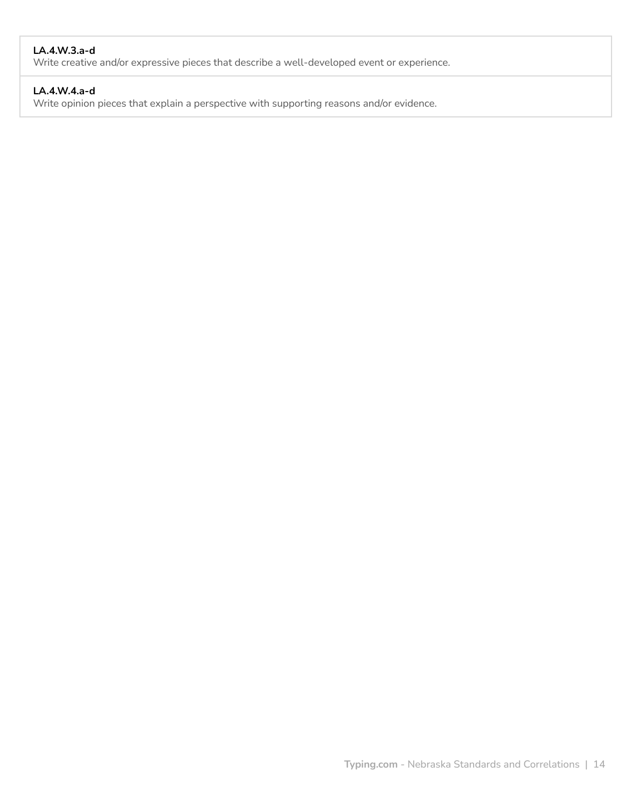# **LA.4.W.3.a-d**

Write creative and/or expressive pieces that describe a well-developed event or experience.

# **LA.4.W.4.a-d**

Write opinion pieces that explain a perspective with supporting reasons and/or evidence.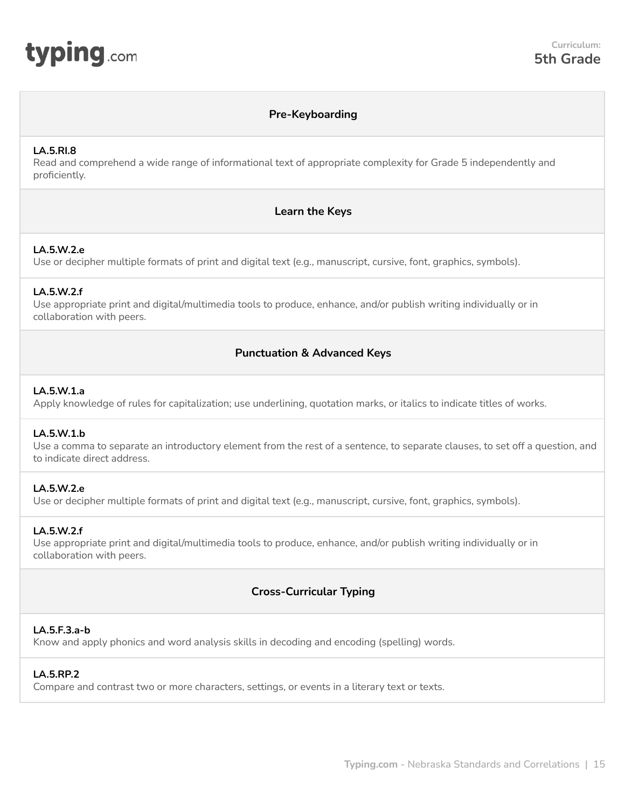<span id="page-14-0"></span>

# **Pre-Keyboarding**

# **LA.5.RI.8**

Read and comprehend a wide range of informational text of appropriate complexity for Grade 5 independently and proficiently.

# **Learn the Keys**

## **LA.5.W.2.e**

Use or decipher multiple formats of print and digital text (e.g., manuscript, cursive, font, graphics, symbols).

# **LA.5.W.2.f**

Use appropriate print and digital/multimedia tools to produce, enhance, and/or publish writing individually or in collaboration with peers.

# **Punctuation & Advanced Keys**

## **LA.5.W.1.a**

Apply knowledge of rules for capitalization; use underlining, quotation marks, or italics to indicate titles of works.

#### **LA.5.W.1.b**

Use a comma to separate an introductory element from the rest of a sentence, to separate clauses, to set off a question, and to indicate direct address.

# **LA.5.W.2.e**

Use or decipher multiple formats of print and digital text (e.g., manuscript, cursive, font, graphics, symbols).

#### **LA.5.W.2.f**

Use appropriate print and digital/multimedia tools to produce, enhance, and/or publish writing individually or in collaboration with peers.

# **Cross-Curricular Typing**

# **LA.5.F.3.a-b**

Know and apply phonics and word analysis skills in decoding and encoding (spelling) words.

# **LA.5.RP.2**

Compare and contrast two or more characters, settings, or events in a literary text or texts.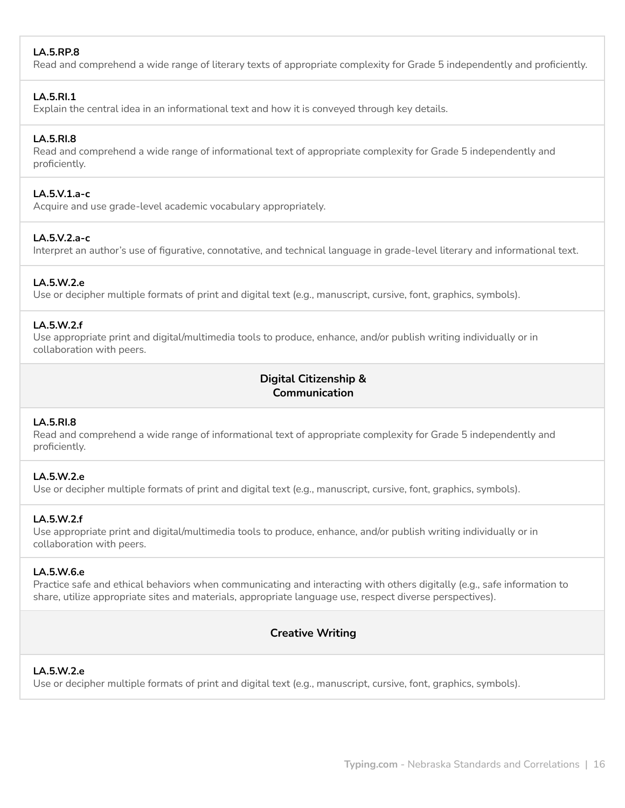# **LA.5.RP.8**

Read and comprehend a wide range of literary texts of appropriate complexity for Grade 5 independently and proficiently.

# **LA.5.RI.1**

Explain the central idea in an informational text and how it is conveyed through key details.

# **LA.5.RI.8**

Read and comprehend a wide range of informational text of appropriate complexity for Grade 5 independently and proficiently.

## **LA.5.V.1.a-c**

Acquire and use grade-level academic vocabulary appropriately.

## **LA.5.V.2.a-c**

Interpret an author's use of figurative, connotative, and technical language in grade-level literary and informational text.

## **LA.5.W.2.e**

Use or decipher multiple formats of print and digital text (e.g., manuscript, cursive, font, graphics, symbols).

## **LA.5.W.2.f**

Use appropriate print and digital/multimedia tools to produce, enhance, and/or publish writing individually or in collaboration with peers.

# **Digital Citizenship & Communication**

# **LA.5.RI.8**

Read and comprehend a wide range of informational text of appropriate complexity for Grade 5 independently and proficiently.

# **LA.5.W.2.e**

Use or decipher multiple formats of print and digital text (e.g., manuscript, cursive, font, graphics, symbols).

# **LA.5.W.2.f**

Use appropriate print and digital/multimedia tools to produce, enhance, and/or publish writing individually or in collaboration with peers.

# **LA.5.W.6.e**

Practice safe and ethical behaviors when communicating and interacting with others digitally (e.g., safe information to share, utilize appropriate sites and materials, appropriate language use, respect diverse perspectives).

# **Creative Writing**

## **LA.5.W.2.e**

Use or decipher multiple formats of print and digital text (e.g., manuscript, cursive, font, graphics, symbols).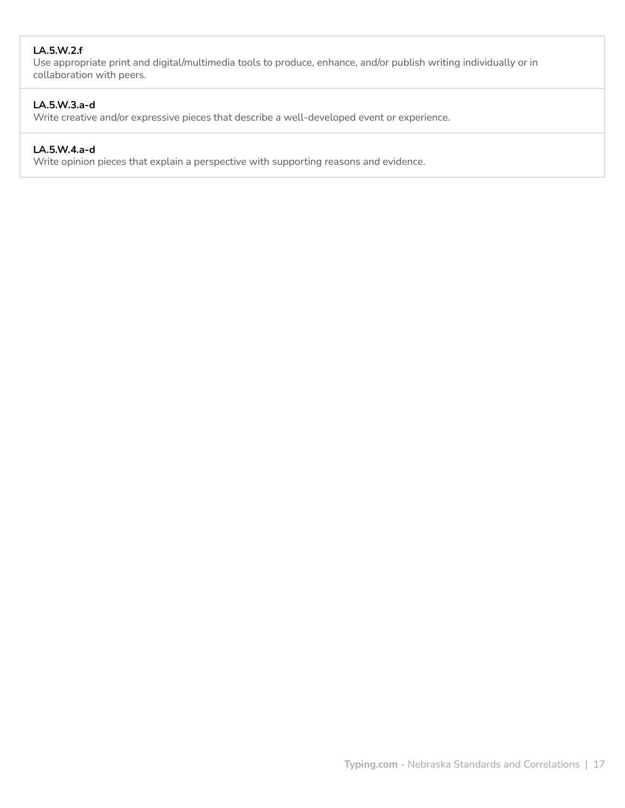# **LA.5.W.2.f**

Use appropriate print and digital/multimedia tools to produce, enhance, and/or publish writing individually or in collaboration with peers.

# **LA.5.W.3.a-d**

Write creative and/or expressive pieces that describe a well-developed event or experience.

# **LA.5.W.4.a-d**

Write opinion pieces that explain a perspective with supporting reasons and evidence.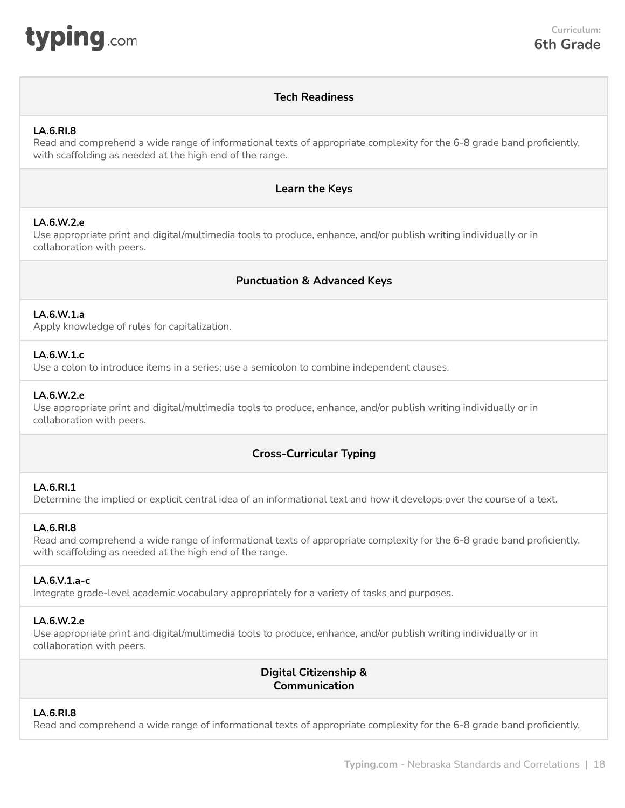<span id="page-17-0"></span>

# **Tech Readiness**

## **LA.6.RI.8**

Read and comprehend a wide range of informational texts of appropriate complexity for the 6-8 grade band proficiently, with scaffolding as needed at the high end of the range.

# **Learn the Keys**

## **LA.6.W.2.e**

Use appropriate print and digital/multimedia tools to produce, enhance, and/or publish writing individually or in collaboration with peers.

# **Punctuation & Advanced Keys**

# **LA.6.W.1.a**

Apply knowledge of rules for capitalization.

#### **LA.6.W.1.c**

Use a colon to introduce items in a series; use a semicolon to combine independent clauses.

## **LA.6.W.2.e**

Use appropriate print and digital/multimedia tools to produce, enhance, and/or publish writing individually or in collaboration with peers.

# **Cross-Curricular Typing**

#### **LA.6.RI.1**

Determine the implied or explicit central idea of an informational text and how it develops over the course of a text.

# **LA.6.RI.8**

Read and comprehend a wide range of informational texts of appropriate complexity for the 6-8 grade band proficiently, with scaffolding as needed at the high end of the range.

#### **LA.6.V.1.a-c**

Integrate grade-level academic vocabulary appropriately for a variety of tasks and purposes.

#### **LA.6.W.2.e**

Use appropriate print and digital/multimedia tools to produce, enhance, and/or publish writing individually or in collaboration with peers.

> **Digital Citizenship & Communication**

## **LA.6.RI.8**

Read and comprehend a wide range of informational texts of appropriate complexity for the 6-8 grade band proficiently,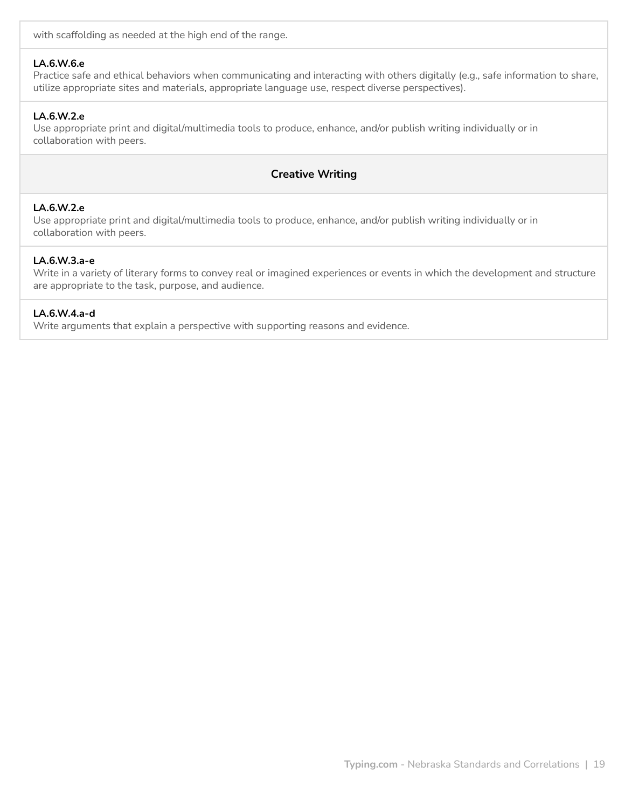with scaffolding as needed at the high end of the range.

#### **LA.6.W.6.e**

Practice safe and ethical behaviors when communicating and interacting with others digitally (e.g., safe information to share, utilize appropriate sites and materials, appropriate language use, respect diverse perspectives).

## **LA.6.W.2.e**

Use appropriate print and digital/multimedia tools to produce, enhance, and/or publish writing individually or in collaboration with peers.

# **Creative Writing**

## **LA.6.W.2.e**

Use appropriate print and digital/multimedia tools to produce, enhance, and/or publish writing individually or in collaboration with peers.

#### **LA.6.W.3.a-e**

Write in a variety of literary forms to convey real or imagined experiences or events in which the development and structure are appropriate to the task, purpose, and audience.

#### **LA.6.W.4.a-d**

Write arguments that explain a perspective with supporting reasons and evidence.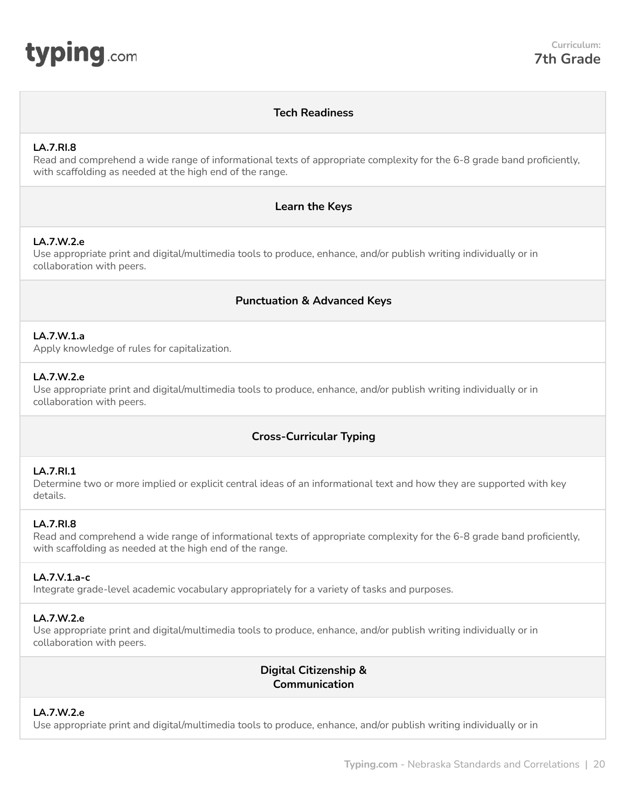<span id="page-19-0"></span>

# **Tech Readiness**

## **LA.7.RI.8**

Read and comprehend a wide range of informational texts of appropriate complexity for the 6-8 grade band proficiently, with scaffolding as needed at the high end of the range.

# **Learn the Keys**

# **LA.7.W.2.e**

Use appropriate print and digital/multimedia tools to produce, enhance, and/or publish writing individually or in collaboration with peers.

# **Punctuation & Advanced Keys**

# **LA.7.W.1.a**

Apply knowledge of rules for capitalization.

# **LA.7.W.2.e**

Use appropriate print and digital/multimedia tools to produce, enhance, and/or publish writing individually or in collaboration with peers.

# **Cross-Curricular Typing**

# **LA.7.RI.1**

Determine two or more implied or explicit central ideas of an informational text and how they are supported with key details.

## **LA.7.RI.8**

Read and comprehend a wide range of informational texts of appropriate complexity for the 6-8 grade band proficiently, with scaffolding as needed at the high end of the range.

#### **LA.7.V.1.a-c**

Integrate grade-level academic vocabulary appropriately for a variety of tasks and purposes.

#### **LA.7.W.2.e**

Use appropriate print and digital/multimedia tools to produce, enhance, and/or publish writing individually or in collaboration with peers.

> **Digital Citizenship & Communication**

# **LA.7.W.2.e**

Use appropriate print and digital/multimedia tools to produce, enhance, and/or publish writing individually or in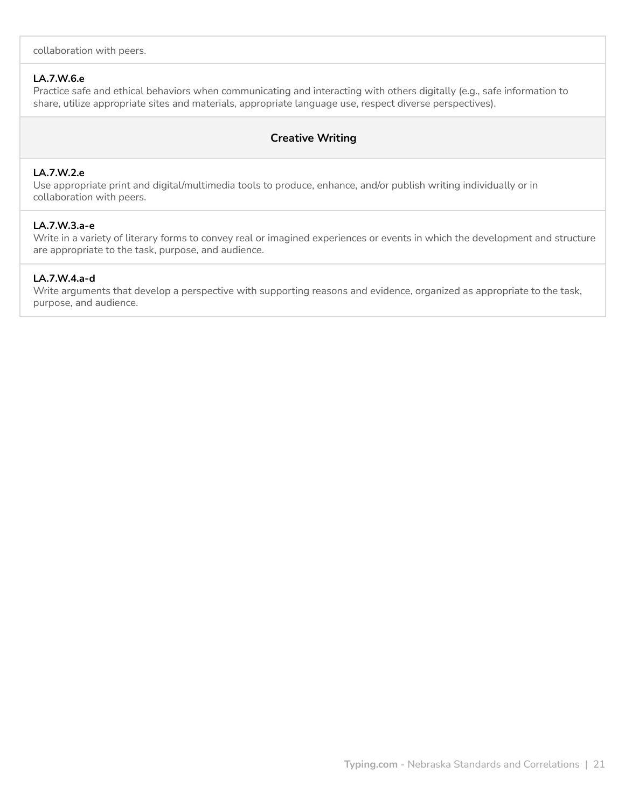collaboration with peers.

## **LA.7.W.6.e**

Practice safe and ethical behaviors when communicating and interacting with others digitally (e.g., safe information to share, utilize appropriate sites and materials, appropriate language use, respect diverse perspectives).

# **Creative Writing**

#### **LA.7.W.2.e**

Use appropriate print and digital/multimedia tools to produce, enhance, and/or publish writing individually or in collaboration with peers.

# **LA.7.W.3.a-e**

Write in a variety of literary forms to convey real or imagined experiences or events in which the development and structure are appropriate to the task, purpose, and audience.

## **LA.7.W.4.a-d**

Write arguments that develop a perspective with supporting reasons and evidence, organized as appropriate to the task, purpose, and audience.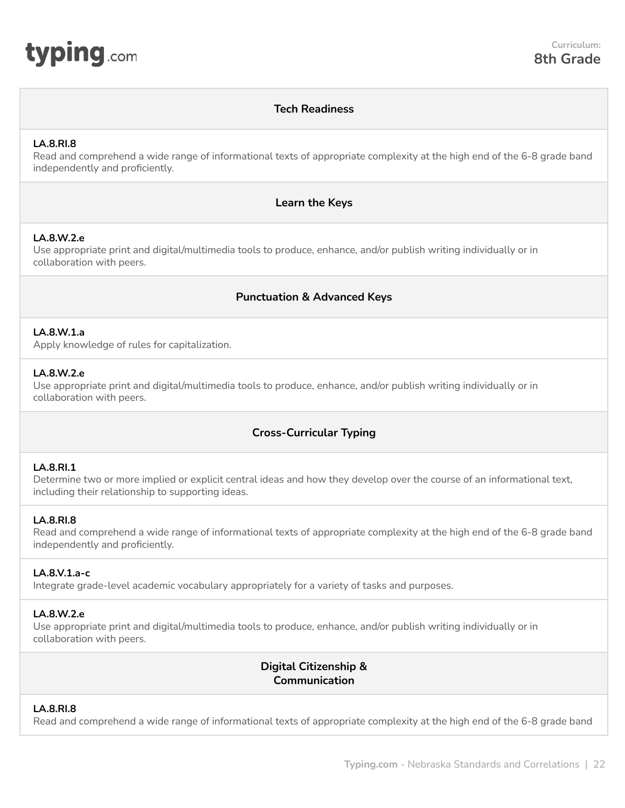<span id="page-21-0"></span>

# **Tech Readiness**

## **LA.8.RI.8**

Read and comprehend a wide range of informational texts of appropriate complexity at the high end of the 6-8 grade band independently and proficiently.

# **Learn the Keys**

## **LA.8.W.2.e**

Use appropriate print and digital/multimedia tools to produce, enhance, and/or publish writing individually or in collaboration with peers.

# **Punctuation & Advanced Keys**

## **LA.8.W.1.a**

Apply knowledge of rules for capitalization.

## **LA.8.W.2.e**

Use appropriate print and digital/multimedia tools to produce, enhance, and/or publish writing individually or in collaboration with peers.

# **Cross-Curricular Typing**

#### **LA.8.RI.1**

Determine two or more implied or explicit central ideas and how they develop over the course of an informational text, including their relationship to supporting ideas.

#### **LA.8.RI.8**

Read and comprehend a wide range of informational texts of appropriate complexity at the high end of the 6-8 grade band independently and proficiently.

#### **LA.8.V.1.a-c**

Integrate grade-level academic vocabulary appropriately for a variety of tasks and purposes.

#### **LA.8.W.2.e**

Use appropriate print and digital/multimedia tools to produce, enhance, and/or publish writing individually or in collaboration with peers.

> **Digital Citizenship & Communication**

#### **LA.8.RI.8**

Read and comprehend a wide range of informational texts of appropriate complexity at the high end of the 6-8 grade band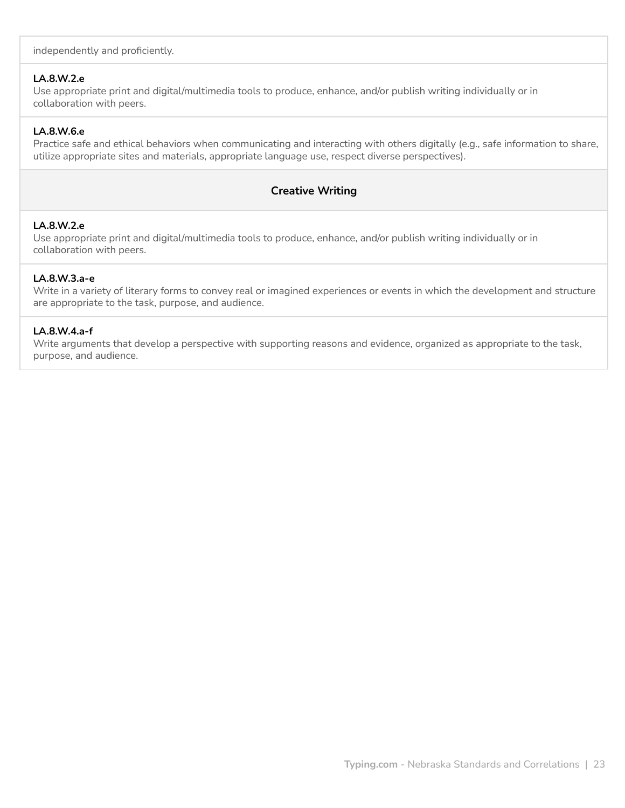independently and proficiently.

## **LA.8.W.2.e**

Use appropriate print and digital/multimedia tools to produce, enhance, and/or publish writing individually or in collaboration with peers.

# **LA.8.W.6.e**

Practice safe and ethical behaviors when communicating and interacting with others digitally (e.g., safe information to share, utilize appropriate sites and materials, appropriate language use, respect diverse perspectives).

# **Creative Writing**

# **LA.8.W.2.e**

Use appropriate print and digital/multimedia tools to produce, enhance, and/or publish writing individually or in collaboration with peers.

## **LA.8.W.3.a-e**

Write in a variety of literary forms to convey real or imagined experiences or events in which the development and structure are appropriate to the task, purpose, and audience.

# **LA.8.W.4.a-f**

Write arguments that develop a perspective with supporting reasons and evidence, organized as appropriate to the task, purpose, and audience.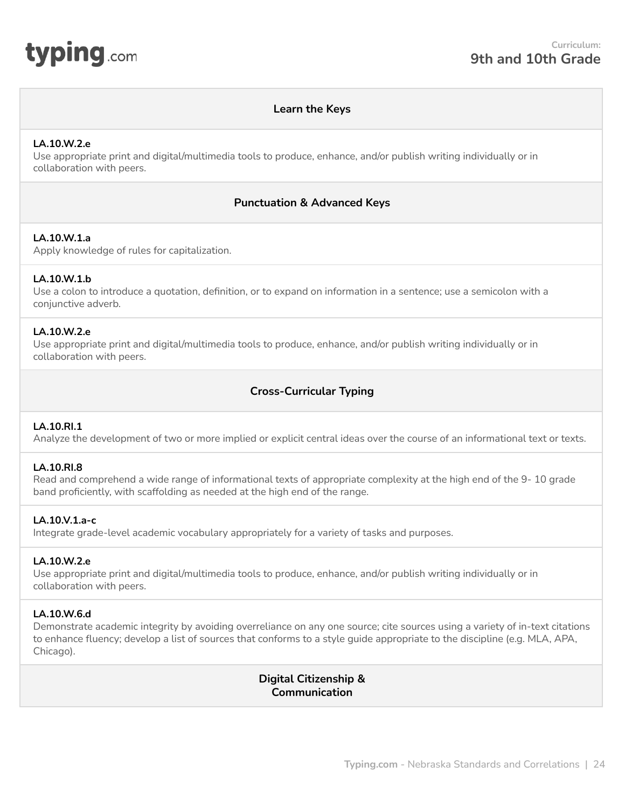<span id="page-23-0"></span>

# **Learn the Keys**

#### **LA.10.W.2.e**

Use appropriate print and digital/multimedia tools to produce, enhance, and/or publish writing individually or in collaboration with peers.

## **Punctuation & Advanced Keys**

#### **LA.10.W.1.a**

Apply knowledge of rules for capitalization.

#### **LA.10.W.1.b**

Use a colon to introduce a quotation, definition, or to expand on information in a sentence; use a semicolon with a conjunctive adverb.

#### **LA.10.W.2.e**

Use appropriate print and digital/multimedia tools to produce, enhance, and/or publish writing individually or in collaboration with peers.

# **Cross-Curricular Typing**

#### **LA.10.RI.1**

Analyze the development of two or more implied or explicit central ideas over the course of an informational text or texts.

#### **LA.10.RI.8**

Read and comprehend a wide range of informational texts of appropriate complexity at the high end of the 9- 10 grade band proficiently, with scaffolding as needed at the high end of the range.

#### **LA.10.V.1.a-c**

Integrate grade-level academic vocabulary appropriately for a variety of tasks and purposes.

#### **LA.10.W.2.e**

Use appropriate print and digital/multimedia tools to produce, enhance, and/or publish writing individually or in collaboration with peers.

#### **LA.10.W.6.d**

Demonstrate academic integrity by avoiding overreliance on any one source; cite sources using a variety of in-text citations to enhance fluency; develop a list of sources that conforms to a style guide appropriate to the discipline (e.g. MLA, APA, Chicago).

> **Digital Citizenship & Communication**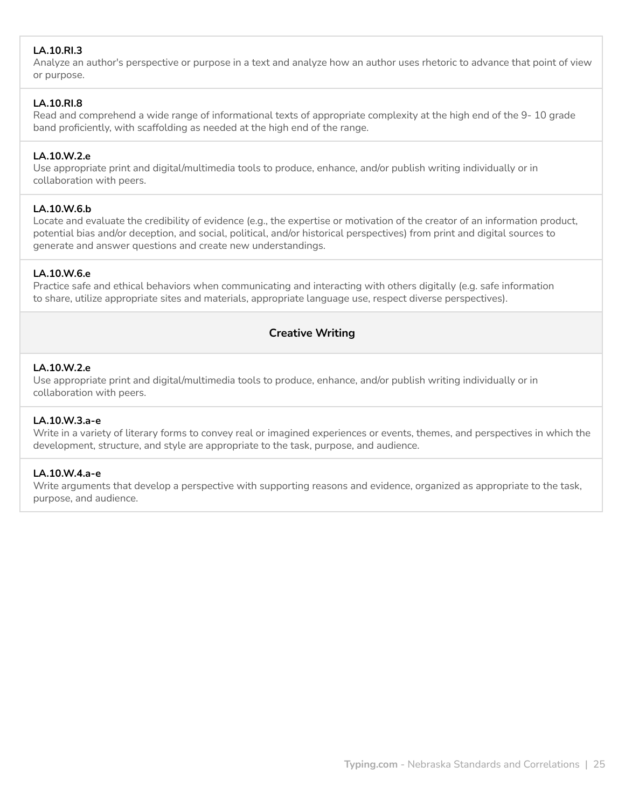# **LA.10.RI.3**

Analyze an author's perspective or purpose in a text and analyze how an author uses rhetoric to advance that point of view or purpose.

# **LA.10.RI.8**

Read and comprehend a wide range of informational texts of appropriate complexity at the high end of the 9- 10 grade band proficiently, with scaffolding as needed at the high end of the range.

# **LA.10.W.2.e**

Use appropriate print and digital/multimedia tools to produce, enhance, and/or publish writing individually or in collaboration with peers.

# **LA.10.W.6.b**

Locate and evaluate the credibility of evidence (e.g., the expertise or motivation of the creator of an information product, potential bias and/or deception, and social, political, and/or historical perspectives) from print and digital sources to generate and answer questions and create new understandings.

# **LA.10.W.6.e**

Practice safe and ethical behaviors when communicating and interacting with others digitally (e.g. safe information to share, utilize appropriate sites and materials, appropriate language use, respect diverse perspectives).

# **Creative Writing**

# **LA.10.W.2.e**

Use appropriate print and digital/multimedia tools to produce, enhance, and/or publish writing individually or in collaboration with peers.

# **LA.10.W.3.a-e**

Write in a variety of literary forms to convey real or imagined experiences or events, themes, and perspectives in which the development, structure, and style are appropriate to the task, purpose, and audience.

# **LA.10.W.4.a-e**

Write arguments that develop a perspective with supporting reasons and evidence, organized as appropriate to the task, purpose, and audience.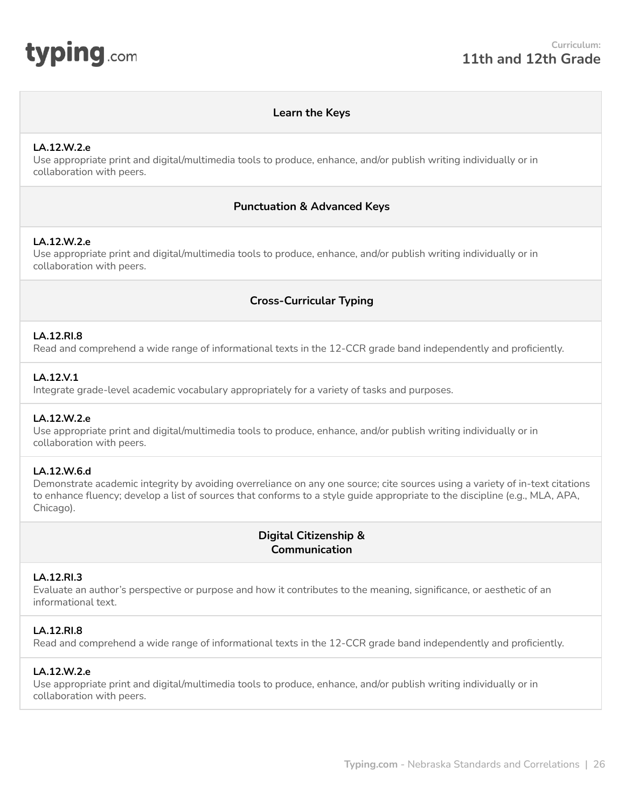<span id="page-25-0"></span>

# **Learn the Keys**

### **LA.12.W.2.e**

Use appropriate print and digital/multimedia tools to produce, enhance, and/or publish writing individually or in collaboration with peers.

# **Punctuation & Advanced Keys**

# **LA.12.W.2.e**

Use appropriate print and digital/multimedia tools to produce, enhance, and/or publish writing individually or in collaboration with peers.

# **Cross-Curricular Typing**

## **LA.12.RI.8**

Read and comprehend a wide range of informational texts in the 12-CCR grade band independently and proficiently.

## **LA.12.V.1**

Integrate grade-level academic vocabulary appropriately for a variety of tasks and purposes.

#### **LA.12.W.2.e**

Use appropriate print and digital/multimedia tools to produce, enhance, and/or publish writing individually or in collaboration with peers.

# **LA.12.W.6.d**

Demonstrate academic integrity by avoiding overreliance on any one source; cite sources using a variety of in-text citations to enhance fluency; develop a list of sources that conforms to a style guide appropriate to the discipline (e.g., MLA, APA, Chicago).

# **Digital Citizenship & Communication**

#### **LA.12.RI.3**

Evaluate an author's perspective or purpose and how it contributes to the meaning, significance, or aesthetic of an informational text.

## **LA.12.RI.8**

Read and comprehend a wide range of informational texts in the 12-CCR grade band independently and proficiently.

# **LA.12.W.2.e**

Use appropriate print and digital/multimedia tools to produce, enhance, and/or publish writing individually or in collaboration with peers.